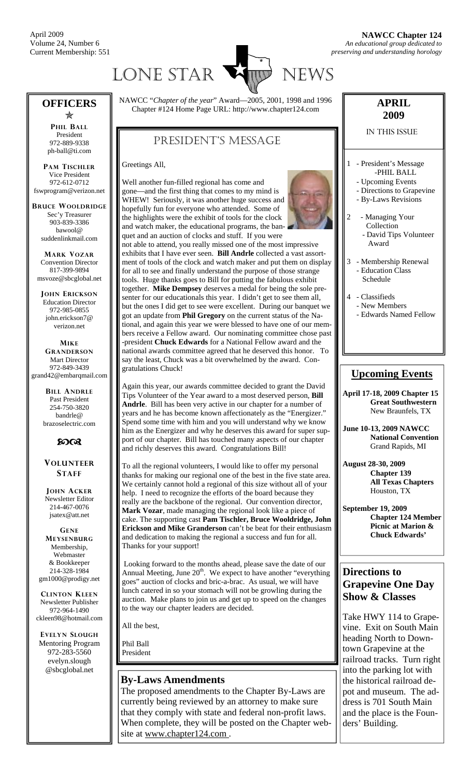April 2009 Volume 24, Number 6 Current Membership: 551



#### **OFFICERS**  Õ

**PHIL BALL** President 972-889-9338 ph-ball@ti.com

**PAM TISCHLER** Vice President 972-612-0712 fswprogram@verizon.net

**BRUCE WOOLDRIDGE** Sec'y Treasurer 903-839-3386 bawool@ suddenlinkmail.com

**MARK VOZAR** Convention Director 817-399-9894 msvoze@sbcglobal.net

**JOHN ERICKSON** Education Director 972-985-0855 john.erickson7@ verizon.net

**MIKE GRANDERSON** Mart Director 972-849-3439 grand42@embarqmail.com

> **BILL ANDRLE** Past President 254-750-3820 bandrle@ brazoselectric.com

# $60<sup>o</sup>$

#### **VOLUNTEER STAFF**

**JOHN ACKER** Newsletter Editor 214-467-0076 jsatex@att.net

**GENE MEYSENBURG** Membership, Webmaster & Bookkeeper 214-328-1984 gm1000@prodigy.net

**CLINTON KLEEN** Newsletter Publisher 972-964-1490 ckleen98@hotmail.com

**EVELYN SLOUGH** Mentoring Program 972-283-5560 evelyn.slough @sbcglobal.net

NAWCC "*Chapter of the year*" Award—2005, 2001, 1998 and 1996 Chapter #124 Home Page URL: http://www.chapter124.com

# PRESIDENT'S MESSAGE

Greetings All,

Well another fun-filled regional has come and gone—and the first thing that comes to my mind is WHEW! Seriously, it was another huge success and hopefully fun for everyone who attended. Some of the highlights were the exhibit of tools for the clock and watch maker, the educational programs, the ban-



quet and an auction of clocks and stuff. If you were not able to attend, you really missed one of the most impressive exhibits that I have ever seen. **Bill Andrle** collected a vast assortment of tools of the clock and watch maker and put them on display for all to see and finally understand the purpose of those strange tools. Huge thanks goes to Bill for putting the fabulous exhibit together. **Mike Dempsey** deserves a medal for being the sole presenter for our educationals this year. I didn't get to see them all, but the ones I did get to see were excellent. During our banquet we got an update from **Phil Gregory** on the current status of the National, and again this year we were blessed to have one of our members receive a Fellow award. Our nominating committee chose past -president **Chuck Edwards** for a National Fellow award and the national awards committee agreed that he deserved this honor. To say the least, Chuck was a bit overwhelmed by the award. Congratulations Chuck!

Again this year, our awards committee decided to grant the David Tips Volunteer of the Year award to a most deserved person, **Bill Andrle**. Bill has been very active in our chapter for a number of years and he has become known affectionately as the "Energizer." Spend some time with him and you will understand why we know him as the Energizer and why he deserves this award for super support of our chapter. Bill has touched many aspects of our chapter and richly deserves this award. Congratulations Bill!

To all the regional volunteers, I would like to offer my personal thanks for making our regional one of the best in the five state area. We certainly cannot hold a regional of this size without all of your help. I need to recognize the efforts of the board because they really are the backbone of the regional. Our convention director, **Mark Vozar**, made managing the regional look like a piece of cake. The supporting cast **Pam Tischler, Bruce Wooldridge, John Erickson and Mike Granderson** can't be beat for their enthusiasm and dedication to making the regional a success and fun for all. Thanks for your support!

 Looking forward to the months ahead, please save the date of our Annual Meeting, June  $20<sup>th</sup>$ . We expect to have another "everything" goes" auction of clocks and bric-a-brac. As usual, we will have lunch catered in so your stomach will not be growling during the auction. Make plans to join us and get up to speed on the changes to the way our chapter leaders are decided.

All the best,

Phil Ball President

## **By-Laws Amendments**

The proposed amendments to the Chapter By-Laws are currently being reviewed by an attorney to make sure that they comply with state and federal non-profit laws. When complete, they will be posted on the Chapter website at www.chapter124.com.

## **APRIL 2009**

#### IN THIS ISSUE

- 1 President's Message -PHIL BALL
	- Upcoming Events
	- Directions to Grapevine
	- By-Laws Revisions
- Managing Your Collection - David Tips Volunteer Award
- 3 Membership Renewal Education Class Schedule
- 4 Classifieds - New Members - Edwards Named Fellow

## **Upcoming Events**

**April 17-18, 2009 Chapter 15 Great Southwestern**  New Braunfels, TX

**June 10-13, 2009 NAWCC National Convention** Grand Rapids, MI

**August 28-30, 2009 Chapter 139 All Texas Chapters**  Houston, TX

**September 19, 2009 Chapter 124 Member Picnic at Marion & Chuck Edwards'** 

## **Directions to Grapevine One Day Show & Classes**

Take HWY 114 to Grapevine. Exit on South Main heading North to Downtown Grapevine at the railroad tracks. Turn right into the parking lot with the historical railroad depot and museum. The address is 701 South Main and the place is the Founders' Building.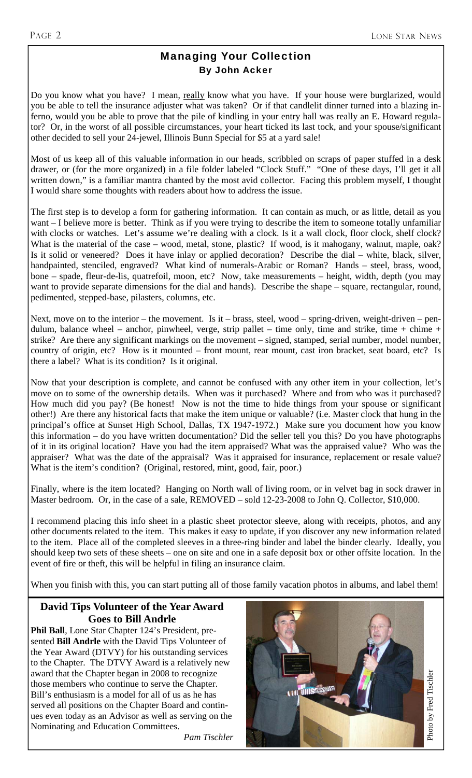# Managing Your Collection By John Acker

Do you know what you have? I mean, really know what you have. If your house were burglarized, would you be able to tell the insurance adjuster what was taken? Or if that candlelit dinner turned into a blazing inferno, would you be able to prove that the pile of kindling in your entry hall was really an E. Howard regulator? Or, in the worst of all possible circumstances, your heart ticked its last tock, and your spouse/significant other decided to sell your 24-jewel, Illinois Bunn Special for \$5 at a yard sale!

Most of us keep all of this valuable information in our heads, scribbled on scraps of paper stuffed in a desk drawer, or (for the more organized) in a file folder labeled "Clock Stuff." "One of these days, I'll get it all written down," is a familiar mantra chanted by the most avid collector. Facing this problem myself, I thought I would share some thoughts with readers about how to address the issue.

The first step is to develop a form for gathering information. It can contain as much, or as little, detail as you want – I believe more is better. Think as if you were trying to describe the item to someone totally unfamiliar with clocks or watches. Let's assume we're dealing with a clock. Is it a wall clock, floor clock, shelf clock? What is the material of the case – wood, metal, stone, plastic? If wood, is it mahogany, walnut, maple, oak? Is it solid or veneered? Does it have inlay or applied decoration? Describe the dial – white, black, silver, handpainted, stenciled, engraved? What kind of numerals-Arabic or Roman? Hands – steel, brass, wood, bone – spade, fleur-de-lis, quatrefoil, moon, etc? Now, take measurements – height, width, depth (you may want to provide separate dimensions for the dial and hands). Describe the shape – square, rectangular, round, pedimented, stepped-base, pilasters, columns, etc.

Next, move on to the interior – the movement. Is it – brass, steel, wood – spring-driven, weight-driven – pendulum, balance wheel – anchor, pinwheel, verge, strip pallet – time only, time and strike, time + chime + strike? Are there any significant markings on the movement – signed, stamped, serial number, model number, country of origin, etc? How is it mounted – front mount, rear mount, cast iron bracket, seat board, etc? Is there a label? What is its condition? Is it original.

Now that your description is complete, and cannot be confused with any other item in your collection, let's move on to some of the ownership details. When was it purchased? Where and from who was it purchased? How much did you pay? (Be honest! Now is not the time to hide things from your spouse or significant other!) Are there any historical facts that make the item unique or valuable? (i.e. Master clock that hung in the principal's office at Sunset High School, Dallas, TX 1947-1972.) Make sure you document how you know this information – do you have written documentation? Did the seller tell you this? Do you have photographs of it in its original location? Have you had the item appraised? What was the appraised value? Who was the appraiser? What was the date of the appraisal? Was it appraised for insurance, replacement or resale value? What is the item's condition? (Original, restored, mint, good, fair, poor.)

Finally, where is the item located? Hanging on North wall of living room, or in velvet bag in sock drawer in Master bedroom. Or, in the case of a sale, REMOVED – sold 12-23-2008 to John Q. Collector, \$10,000.

I recommend placing this info sheet in a plastic sheet protector sleeve, along with receipts, photos, and any other documents related to the item. This makes it easy to update, if you discover any new information related to the item. Place all of the completed sleeves in a three-ring binder and label the binder clearly. Ideally, you should keep two sets of these sheets – one on site and one in a safe deposit box or other offsite location. In the event of fire or theft, this will be helpful in filing an insurance claim.

When you finish with this, you can start putting all of those family vacation photos in albums, and label them!

## **David Tips Volunteer of the Year Award Goes to Bill Andrle**

**Phil Ball**, Lone Star Chapter 124's President, presented **Bill Andrle** with the David Tips Volunteer of the Year Award (DTVY) for his outstanding services to the Chapter. The DTVY Award is a relatively new award that the Chapter began in 2008 to recognize those members who continue to serve the Chapter. Bill's enthusiasm is a model for all of us as he has served all positions on the Chapter Board and continues even today as an Advisor as well as serving on the Nominating and Education Committees.

*Pam Tischler* 

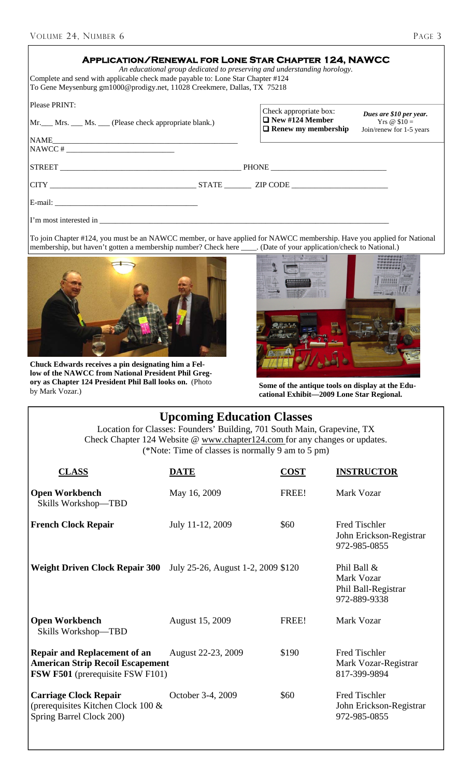| Complete and send with applicable check made payable to: Lone Star Chapter #124<br>To Gene Meysenburg gm1000@prodigy.net, 11028 Creekmere, Dallas, TX 75218 | <b>APPLICATION/RENEWAL FOR LONE STAR CHAPTER 124, NAWCC</b><br>An educational group dedicated to preserving and understanding horology.                      |
|-------------------------------------------------------------------------------------------------------------------------------------------------------------|--------------------------------------------------------------------------------------------------------------------------------------------------------------|
| Please PRINT:<br>Mr. Mrs. Ms. Clease check appropriate blank.)                                                                                              | Check appropriate box:<br>Dues are \$10 per year.<br>$\Box$ New #124 Member<br>Yrs $\omega$ \$10 =<br>$\Box$ Renew my membership<br>Join/renew for 1-5 years |
| $NAWCC # _______$                                                                                                                                           |                                                                                                                                                              |
|                                                                                                                                                             |                                                                                                                                                              |
|                                                                                                                                                             |                                                                                                                                                              |
| E-mail:                                                                                                                                                     |                                                                                                                                                              |
| I'm most interested in                                                                                                                                      |                                                                                                                                                              |

To join Chapter #124, you must be an NAWCC member, or have applied for NAWCC membership. Have you applied for National membership, but haven't gotten a membership number? Check here \_\_\_\_\_. (Date of your application/check t membership, but haven't gotten a membership number? Check here



**Chuck Edwards receives a pin designating him a Fellow of the NAWCC from National President Phil Gregory as Chapter 124 President Phil Ball looks on.** (Photo



Some of the antique tools on display at the Edu**cational Exhibit—2009 Lone Star Regional.** 

| <b>Upcoming Education Classes</b><br>Location for Classes: Founders' Building, 701 South Main, Grapevine, TX<br>Check Chapter 124 Website @ www.chapter124.com for any changes or updates.<br>(*Note: Time of classes is normally 9 am to 5 pm) |                                    |             |                                                                  |  |
|-------------------------------------------------------------------------------------------------------------------------------------------------------------------------------------------------------------------------------------------------|------------------------------------|-------------|------------------------------------------------------------------|--|
| <b>CLASS</b>                                                                                                                                                                                                                                    | DATE                               | <b>COST</b> | <b>INSTRUCTOR</b>                                                |  |
| <b>Open Workbench</b><br>Skills Workshop-TBD                                                                                                                                                                                                    | May 16, 2009                       | FREE!       | Mark Vozar                                                       |  |
| <b>French Clock Repair</b>                                                                                                                                                                                                                      | July 11-12, 2009                   | \$60        | <b>Fred Tischler</b><br>John Erickson-Registrar<br>972-985-0855  |  |
| <b>Weight Driven Clock Repair 300</b>                                                                                                                                                                                                           | July 25-26, August 1-2, 2009 \$120 |             | Phil Ball &<br>Mark Vozar<br>Phil Ball-Registrar<br>972-889-9338 |  |
| <b>Open Workbench</b><br>Skills Workshop-TBD                                                                                                                                                                                                    | August 15, 2009                    | FREE!       | Mark Vozar                                                       |  |
| <b>Repair and Replacement of an</b><br><b>American Strip Recoil Escapement</b><br><b>FSW F501</b> (prerequisite FSW F101)                                                                                                                       | August 22-23, 2009                 | \$190       | <b>Fred Tischler</b><br>Mark Vozar-Registrar<br>817-399-9894     |  |
| <b>Carriage Clock Repair</b><br>(prerequisites Kitchen Clock 100 &<br>Spring Barrel Clock 200)                                                                                                                                                  | October 3-4, 2009                  | \$60        | <b>Fred Tischler</b><br>John Erickson-Registrar<br>972-985-0855  |  |